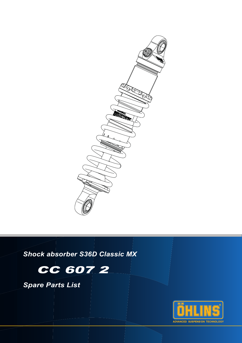

*Shock absorber S36D Classic MX*



*Spare Parts List*

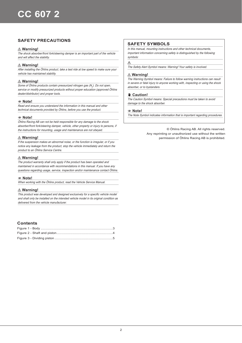# **SAFETY PRECAUTIONS**

## ⚠ **Warning!**

The shock absorber/front fork/steering damper is an important part of the vehicle and will affect the stability.

## ⚠ **Warning!**

After installing the Öhlins product, take a test ride at low speed to make sure your vehicle has maintained stability.

## ⚠ **Warning!**

Some of Öhlins products contain pressurized nitrogen gas (N<sub>2</sub>). Do not open, service or modify pressurized products without proper education (approved Öhlins dealer/distributor) and proper tools.

#### 1 **Note!**

Read and ensure you understand the information in this manual and other technical documents provided by Öhlins, before you use the product.

#### 1 **Note!**

Öhlins Racing AB can not be held responsible for any damage to the shock absorber/front fork/steering damper, vehicle, other property or injury to persons, if the instructions for mounting, usage and maintenance are not obeyed.

## ⚠ **Warning!**

If the suspension makes an abnormal noise, or the function is irregular, or if you notice any leakage from the product, stop the vehicle immediately and return the product to an Öhlins Service Centre.

## ⚠ **Warning!**

The product warranty shall only apply if the product has been operated and maintained in accordance with recommendations in this manual. If you have any questions regarding usage, service, inspection and/or maintenance contact Öhlins.

#### 1 **Note!**

When working with the Öhlins product, read the Vehicle Service Manual.

## ⚠ **Warning!**

This product was developed and designed exclusively for a specific vehicle model and shall only be installed on the intended vehicle model in its original condition as delivered from the vehicle manufacturer.

## **Contents**

## **SAFETY SYMBOLS**

In this manual, mounting instructions and other technical documents, important information concerning safety is distinguished by the following symbols:

#### $\wedge$

The Safety Alert Symbol means: Warning! Your safety is involved.

### ⚠ **Warning!**

The Warning Symbol means: Failure to follow warning instructions can result in severe or fatal injury to anyone working with, inspecting or using the shock absorber, or to bystanders.

## ✋ **Caution!**

The Caution Symbol means: Special precautions must be taken to avoid damage to the shock absorber.

## 1 **Note!**

The Note Symbol indicates information that is important regarding procedures.

© Öhlins Racing AB. All rights reserved. Any reprinting or unauthorized use without the written permission of Öhlins Racing AB is prohibited.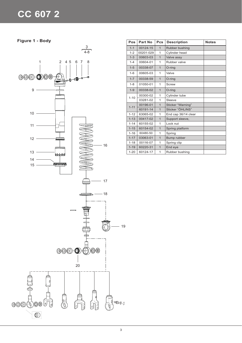# **CC 607 2**

**Figure 1 - Body**



| Pos      | Part No   | <b>Pcs</b>     | <b>Description</b>  | <b>Notes</b> |
|----------|-----------|----------------|---------------------|--------------|
| $1 - 1$  | 00124-15  | $\overline{1}$ | Rubber bushing      |              |
| $1 - 2$  | 00201-029 | $\mathbf{1}$   | Cylinder head       |              |
| $1 - 3$  | 00603-03  | $\overline{1}$ | Valve assy          |              |
| $1 - 4$  | 00604-01  | $\mathbf{1}$   | Rubber valve        |              |
| $1 - 5$  | 00338-07  | $\mathbf{1}$   | O-ring              |              |
| $1 - 6$  | 00605-03  | $\mathbf{1}$   | Valve               |              |
| $1 - 7$  | 00338-59  | $\mathbf{1}$   | O-ring              |              |
| $1 - 8$  | 01050-01  | $\mathbf{1}$   | Screw               |              |
| $1 - 9$  | 00338-02  | $\mathbf{1}$   | O-ring              |              |
| $1 - 10$ | 00300-02  | 1              | Cylinder tube       |              |
|          | 03281-02  | $\mathbf{1}$   | Sleeve              |              |
| $1 - 11$ | 00196-01  | $\overline{1}$ | Sticker "Warning"   |              |
|          | 60191-14  | $\mathbf{1}$   | Sticker "ÖHLINS"    |              |
| $1 - 12$ | 63065-02  | 1              | End cap 36/14 clear |              |
| $1 - 13$ | 00417-02  | $\mathbf{1}$   | Support sleeve,     |              |
| $1 - 14$ | 60155-02  | 1              | Lock nut            |              |
| $1 - 15$ | 60154-02  | $\mathbf{1}$   | Spring platform     |              |
| $1 - 16$ | 60480-50  | 1              | Spring              |              |
| $1 - 17$ | 03063-01  | $\mathbf{1}$   | Bump rubber         |              |
| $1 - 18$ | 00116-07  | 1              | Spring clip         |              |
| $1 - 19$ | 60220-31  | $\mathbf{1}$   | End eye             |              |
| $1 - 20$ | 60124-17  | 1              | Rubber bushing      |              |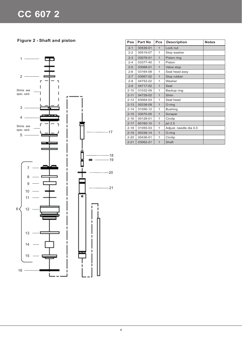**Figure 2 - Shaft and piston** 



| Pos      | Part No  | Pcs            | <b>Description</b>     | <b>Notes</b> |
|----------|----------|----------------|------------------------|--------------|
| $2 - 1$  | 00539-01 | $\mathbf{1}$   | Lock nut               |              |
| $2 - 2$  | 00519-07 | 1              | Stop washer            |              |
| $2 - 3$  | 03078-01 | $\overline{1}$ | Piston ring            |              |
| $2 - 4$  | 03377-40 | $\mathbf{1}$   | Piston                 |              |
| $2 - 5$  | 03068-01 | $\mathbf{1}$   | Valve stop             |              |
| $2 - 6$  | 03164-08 | 1              | Seal head assy         |              |
| $2 - 7$  | 03067-02 | $\overline{1}$ | Stop rubber            |              |
| $2 - 8$  | 04752-02 | $\mathbf{1}$   | Washer                 |              |
| $2 - 9$  | 04717-02 | $\mathbf{1}$   | Seal                   |              |
| $2 - 10$ | 01032-09 | $\mathbf{1}$   | Backup ring            |              |
| $2 - 11$ | 04729-02 | $\overline{1}$ | Shim                   |              |
| $2 - 12$ | 63064-03 | $\mathbf{1}$   | Seal head              |              |
| $2 - 13$ | 00338-09 | $\overline{1}$ | O-ring                 |              |
| $2 - 14$ | 01056-12 | $\mathbf{1}$   | <b>Bushing</b>         |              |
| $2 - 15$ | 03070-05 | $\mathbf{1}$   | Scraper                |              |
| $2 - 16$ | 00128-01 | $\mathbf{1}$   | Circlip                |              |
| $2 - 17$ | 60160-10 | $\mathbf{1}$   | jet 2.5                |              |
| $2 - 18$ | 01055-03 | $\mathbf{1}$   | Adjust. needle dia 4.0 |              |
| $2 - 19$ | 00338-14 | $\mathbf{1}$   | O-ring                 |              |
| $2 - 20$ | 00436-01 | $\mathbf{1}$   | Circlip                |              |
| $2 - 21$ | 03062-21 | $\mathbf{1}$   | Shaft                  |              |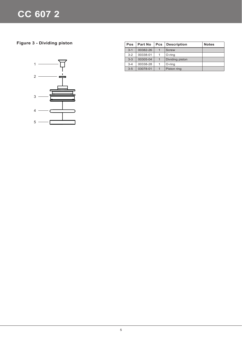**Figure 3 - Dividing piston** 



| <b>Pos</b> | <b>Part No</b> | <b>Pcs</b> | <b>Description</b> | <b>Notes</b> |
|------------|----------------|------------|--------------------|--------------|
| $3 - 1$    | 00382-26       | 1          | Screw              |              |
| $3-2$      | 00338-01       | 1          | O-ring             |              |
| $3 - 3$    | 00305-04       | 1          | Dividing piston    |              |
| $3 - 4$    | 00338-28       | 1          | O-ring             |              |
| $3 - 5$    | 03078-01       |            | Piston ring        |              |